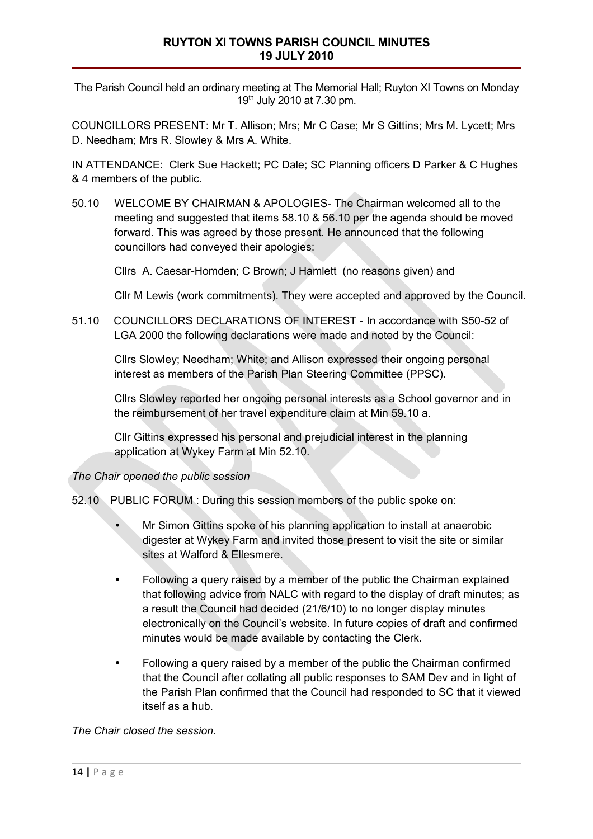The Parish Council held an ordinary meeting at The Memorial Hall; Ruyton XI Towns on Monday 19th July 2010 at 7.30 pm.

COUNCILLORS PRESENT: Mr T. Allison; Mrs; Mr C Case; Mr S Gittins; Mrs M. Lycett; Mrs D. Needham; Mrs R. Slowley & Mrs A. White.

IN ATTENDANCE: Clerk Sue Hackett; PC Dale; SC Planning officers D Parker & C Hughes & 4 members of the public.

50.10 WELCOME BY CHAIRMAN & APOLOGIES- The Chairman welcomed all to the meeting and suggested that items 58.10 & 56.10 per the agenda should be moved forward. This was agreed by those present. He announced that the following councillors had conveyed their apologies:

Cllrs A. Caesar-Homden; C Brown; J Hamlett (no reasons given) and

Cllr M Lewis (work commitments). They were accepted and approved by the Council.

51.10 COUNCILLORS DECLARATIONS OF INTEREST - In accordance with S50-52 of LGA 2000 the following declarations were made and noted by the Council:

Cllrs Slowley; Needham; White; and Allison expressed their ongoing personal interest as members of the Parish Plan Steering Committee (PPSC).

Cllrs Slowley reported her ongoing personal interests as a School governor and in the reimbursement of her travel expenditure claim at Min 59.10 a.

Cllr Gittins expressed his personal and prejudicial interest in the planning application at Wykey Farm at Min 52.10.

## *The Chair opened the public session*

52.10 PUBLIC FORUM : During this session members of the public spoke on:

- Mr Simon Gittins spoke of his planning application to install at anaerobic digester at Wykey Farm and invited those present to visit the site or similar sites at Walford & Ellesmere.
- Following a query raised by a member of the public the Chairman explained that following advice from NALC with regard to the display of draft minutes; as a result the Council had decided (21/6/10) to no longer display minutes electronically on the Council's website. In future copies of draft and confirmed minutes would be made available by contacting the Clerk.
- Following a query raised by a member of the public the Chairman confirmed that the Council after collating all public responses to SAM Dev and in light of the Parish Plan confirmed that the Council had responded to SC that it viewed itself as a hub.

*The Chair closed the session.*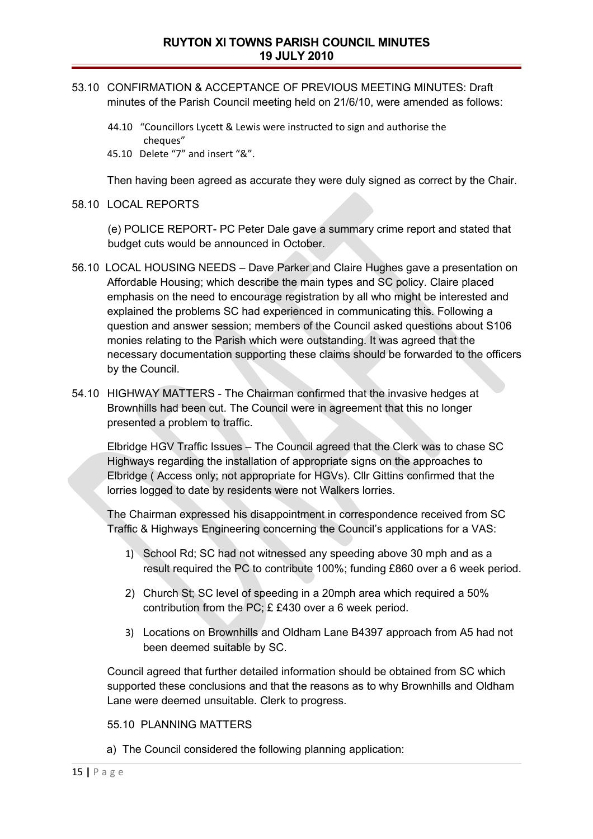- 53.10 CONFIRMATION & ACCEPTANCE OF PREVIOUS MEETING MINUTES: Draft minutes of the Parish Council meeting held on 21/6/10, were amended as follows:
	- 44.10 "Councillors Lycett & Lewis were instructed to sign and authorise the cheques"
	- 45.10 Delete "7" and insert "&".

Then having been agreed as accurate they were duly signed as correct by the Chair.

58.10 LOCAL REPORTS

(e) POLICE REPORT- PC Peter Dale gave a summary crime report and stated that budget cuts would be announced in October.

- 56.10 LOCAL HOUSING NEEDS Dave Parker and Claire Hughes gave a presentation on Affordable Housing; which describe the main types and SC policy. Claire placed emphasis on the need to encourage registration by all who might be interested and explained the problems SC had experienced in communicating this. Following a question and answer session; members of the Council asked questions about S106 monies relating to the Parish which were outstanding. It was agreed that the necessary documentation supporting these claims should be forwarded to the officers by the Council.
- 54.10 HIGHWAY MATTERS The Chairman confirmed that the invasive hedges at Brownhills had been cut. The Council were in agreement that this no longer presented a problem to traffic.

Elbridge HGV Traffic Issues – The Council agreed that the Clerk was to chase SC Highways regarding the installation of appropriate signs on the approaches to Elbridge ( Access only; not appropriate for HGVs). Cllr Gittins confirmed that the lorries logged to date by residents were not Walkers lorries.

The Chairman expressed his disappointment in correspondence received from SC Traffic & Highways Engineering concerning the Council's applications for a VAS:

- 1) School Rd; SC had not witnessed any speeding above 30 mph and as a result required the PC to contribute 100%; funding £860 over a 6 week period.
- 2) Church St; SC level of speeding in a 20mph area which required a 50% contribution from the PC; £ £430 over a 6 week period.
- 3) Locations on Brownhills and Oldham Lane B4397 approach from A5 had not been deemed suitable by SC.

Council agreed that further detailed information should be obtained from SC which supported these conclusions and that the reasons as to why Brownhills and Oldham Lane were deemed unsuitable. Clerk to progress.

## 55.10 PLANNING MATTERS

a) The Council considered the following planning application: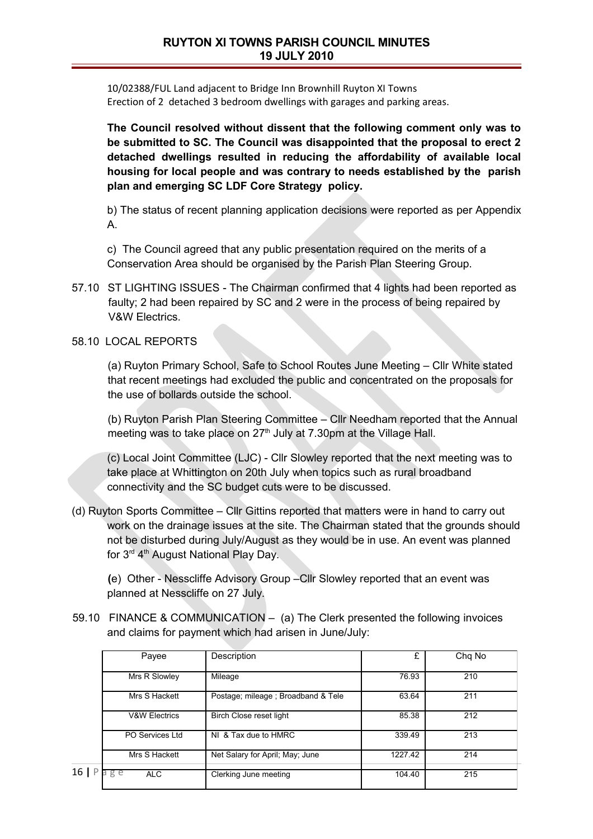10/02388/FUL Land adjacent to Bridge Inn Brownhill Ruyton XI Towns Erection of 2 detached 3 bedroom dwellings with garages and parking areas.

**The Council resolved without dissent that the following comment only was to be submitted to SC. The Council was disappointed that the proposal to erect 2 detached dwellings resulted in reducing the affordability of available local housing for local people and was contrary to needs established by the parish plan and emerging SC LDF Core Strategy policy.**

b) The status of recent planning application decisions were reported as per Appendix A.

c) The Council agreed that any public presentation required on the merits of a Conservation Area should be organised by the Parish Plan Steering Group.

- 57.10 ST LIGHTING ISSUES The Chairman confirmed that 4 lights had been reported as faulty; 2 had been repaired by SC and 2 were in the process of being repaired by V&W Electrics.
- 58.10 LOCAL REPORTS

(a) Ruyton Primary School, Safe to School Routes June Meeting – Cllr White stated that recent meetings had excluded the public and concentrated on the proposals for the use of bollards outside the school.

(b) Ruyton Parish Plan Steering Committee – Cllr Needham reported that the Annual meeting was to take place on  $27<sup>th</sup>$  July at 7.30pm at the Village Hall.

(c) Local Joint Committee (LJC) - Cllr Slowley reported that the next meeting was to take place at Whittington on 20th July when topics such as rural broadband connectivity and the SC budget cuts were to be discussed.

(d) Ruyton Sports Committee – Cllr Gittins reported that matters were in hand to carry out work on the drainage issues at the site. The Chairman stated that the grounds should not be disturbed during July/August as they would be in use. An event was planned for  $3<sup>rd</sup> 4<sup>th</sup>$  August National Play Day.

**(**e) Other - Nesscliffe Advisory Group –Cllr Slowley reported that an event was planned at Nesscliffe on 27 July.

 59.10 FINANCE & COMMUNICATION – (a) The Clerk presented the following invoices and claims for payment which had arisen in June/July:

|      | Payee                    | Description                        | £       | Chq No |
|------|--------------------------|------------------------------------|---------|--------|
|      | Mrs R Slowley            | Mileage                            | 76.93   | 210    |
|      | Mrs S Hackett            | Postage; mileage; Broadband & Tele | 63.64   | 211    |
|      | <b>V&amp;W Electrics</b> | Birch Close reset light            | 85.38   | 212    |
|      | PO Services Ltd          | NI & Tax due to HMRC               | 339.49  | 213    |
|      | Mrs S Hackett            | Net Salary for April; May; June    | 1227.42 | 214    |
| 16 P | g e<br><b>ALC</b>        | Clerking June meeting              | 104.40  | 215    |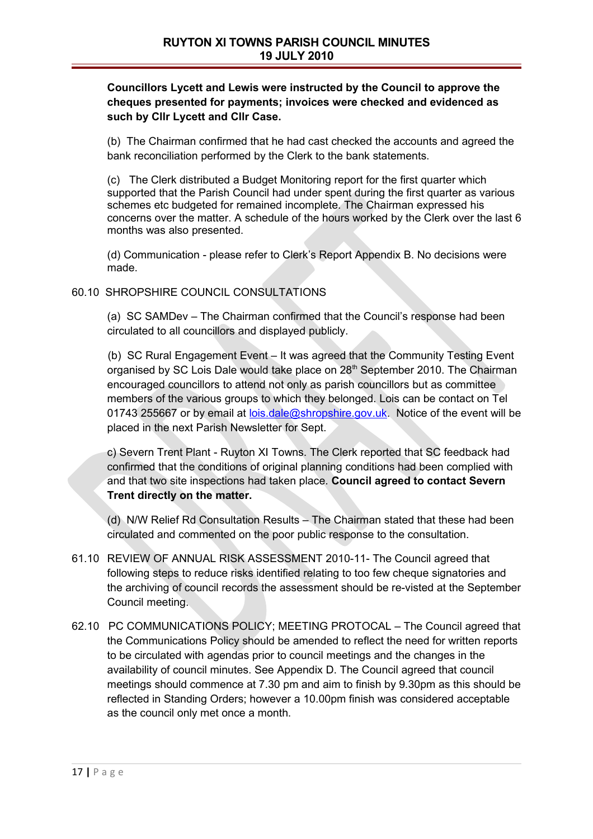## **Councillors Lycett and Lewis were instructed by the Council to approve the cheques presented for payments; invoices were checked and evidenced as such by Cllr Lycett and Cllr Case.**

(b) The Chairman confirmed that he had cast checked the accounts and agreed the bank reconciliation performed by the Clerk to the bank statements.

(c) The Clerk distributed a Budget Monitoring report for the first quarter which supported that the Parish Council had under spent during the first quarter as various schemes etc budgeted for remained incomplete. The Chairman expressed his concerns over the matter. A schedule of the hours worked by the Clerk over the last 6 months was also presented.

(d) Communication - please refer to Clerk's Report Appendix B. No decisions were made.

60.10 SHROPSHIRE COUNCIL CONSULTATIONS

(a) SC SAMDev – The Chairman confirmed that the Council's response had been circulated to all councillors and displayed publicly.

(b) SC Rural Engagement Event – It was agreed that the Community Testing Event organised by SC Lois Dale would take place on 28<sup>th</sup> September 2010. The Chairman encouraged councillors to attend not only as parish councillors but as committee members of the various groups to which they belonged. Lois can be contact on Tel 01743 255667 or by email at [lois.dale@shropshire.gov.uk.](mailto:lois.dale@shropshire.gov.uk) Notice of the event will be placed in the next Parish Newsletter for Sept.

c) Severn Trent Plant - Ruyton XI Towns. The Clerk reported that SC feedback had confirmed that the conditions of original planning conditions had been complied with and that two site inspections had taken place. **Council agreed to contact Severn Trent directly on the matter.**

(d) N/W Relief Rd Consultation Results – The Chairman stated that these had been circulated and commented on the poor public response to the consultation.

- 61.10 REVIEW OF ANNUAL RISK ASSESSMENT 2010-11- The Council agreed that following steps to reduce risks identified relating to too few cheque signatories and the archiving of council records the assessment should be re-visted at the September Council meeting.
- 62.10 PC COMMUNICATIONS POLICY; MEETING PROTOCAL The Council agreed that the Communications Policy should be amended to reflect the need for written reports to be circulated with agendas prior to council meetings and the changes in the availability of council minutes. See Appendix D. The Council agreed that council meetings should commence at 7.30 pm and aim to finish by 9.30pm as this should be reflected in Standing Orders; however a 10.00pm finish was considered acceptable as the council only met once a month.